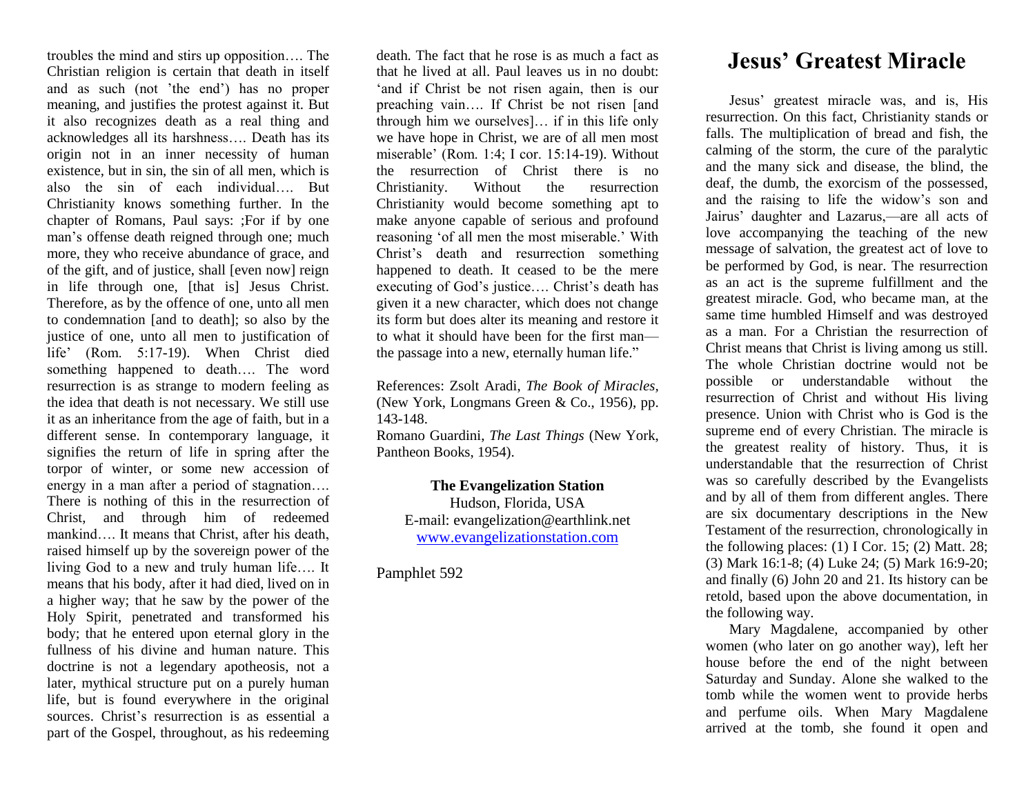troubles the mind and stirs up opposition…. The Christian religion is certain that death in itself and as such (not 'the end') has no proper meaning, and justifies the protest against it. But it also recognizes death as a real thing and acknowledges all its harshness…. Death has its origin not in an inner necessity of human existence, but in sin, the sin of all men, which is also the sin of each individual…. But Christianity knows something further. In the chapter of Romans, Paul says: ;For if by one man's offense death reigned through one; much more, they who receive abundance of grace, and of the gift, and of justice, shall [even now] reign in life through one, [that is] Jesus Christ. Therefore, as by the offence of one, unto all men to condemnation [and to death]; so also by the justice of one, unto all men to justification of life' (Rom. 5:17-19). When Christ died something happened to death…. The word resurrection is as strange to modern feeling as the idea that death is not necessary. We still use it as an inheritance from the age of faith, but in a different sense. In contemporary language, it signifies the return of life in spring after the torpor of winter, or some new accession of energy in a man after a period of stagnation…. There is nothing of this in the resurrection of Christ, and through him of redeemed mankind…. It means that Christ, after his death, raised himself up by the sovereign power of the living God to a new and truly human life…. It means that his body, after it had died, lived on in a higher way; that he saw by the power of the Holy Spirit, penetrated and transformed his body; that he entered upon eternal glory in the fullness of his divine and human nature. This doctrine is not a legendary apotheosis, not a later, mythical structure put on a purely human life, but is found everywhere in the original sources. Christ's resurrection is as essential a part of the Gospel, throughout, as his redeeming

death. The fact that he rose is as much a fact as that he lived at all. Paul leaves us in no doubt: 'and if Christ be not risen again, then is our preaching vain…. If Christ be not risen [and through him we ourselves]… if in this life only we have hope in Christ, we are of all men most miserable' (Rom. 1:4; I cor. 15:14-19). Without the resurrection of Christ there is no Christianity. Without the resurrection Christianity would become something apt to make anyone capable of serious and profound reasoning 'of all men the most miserable.' With Christ's death and resurrection something happened to death. It ceased to be the mere executing of God's justice…. Christ's death has given it a new character, which does not change its form but does alter its meaning and restore it to what it should have been for the first man the passage into a new, eternally human life."

References: Zsolt Aradi, *The Book of Miracles,*  (New York, Longmans Green & Co., 1956), pp. 143-148.

Romano Guardini, *The Last Things* (New York, Pantheon Books, 1954).

**The Evangelization Station** Hudson, Florida, USA E-mail: evangelization@earthlink.net [www.evangelizationstation.com](http://www.pjpiisoe.org/)

Pamphlet 592

## **Jesus' Greatest Miracle**

Jesus' greatest miracle was, and is, His resurrection. On this fact, Christianity stands or falls. The multiplication of bread and fish, the calming of the storm, the cure of the paralytic and the many sick and disease, the blind, the deaf, the dumb, the exorcism of the possessed, and the raising to life the widow's son and Jairus' daughter and Lazarus,—are all acts of love accompanying the teaching of the new message of salvation, the greatest act of love to be performed by God, is near. The resurrection as an act is the supreme fulfillment and the greatest miracle. God, who became man, at the same time humbled Himself and was destroyed as a man. For a Christian the resurrection of Christ means that Christ is living among us still. The whole Christian doctrine would not be possible or understandable without the resurrection of Christ and without His living presence. Union with Christ who is God is the supreme end of every Christian. The miracle is the greatest reality of history. Thus, it is understandable that the resurrection of Christ was so carefully described by the Evangelists and by all of them from different angles. There are six documentary descriptions in the New Testament of the resurrection, chronologically in the following places:  $(1)$  I Cor. 15;  $(2)$  Matt. 28; (3) Mark 16:1-8; (4) Luke 24; (5) Mark 16:9-20; and finally (6) John 20 and 21. Its history can be retold, based upon the above documentation, in the following way.

Mary Magdalene, accompanied by other women (who later on go another way), left her house before the end of the night between Saturday and Sunday. Alone she walked to the tomb while the women went to provide herbs and perfume oils. When Mary Magdalene arrived at the tomb, she found it open and